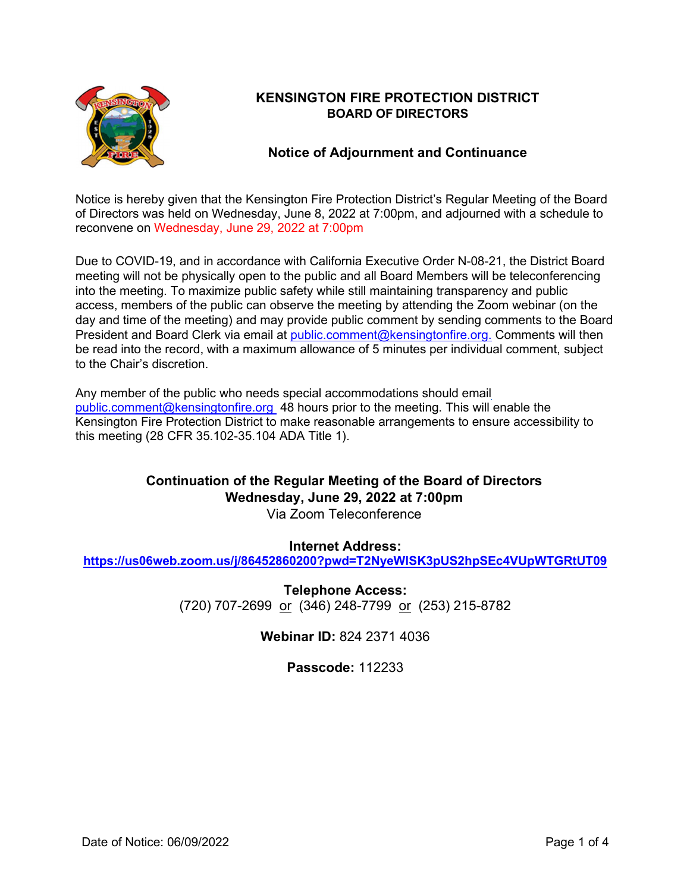

# **KENSINGTON FIRE PROTECTION DISTRICT BOARD OF DIRECTORS**

## **Notice of Adjournment and Continuance**

Notice is hereby given that the Kensington Fire Protection District's Regular Meeting of the Board of Directors was held on Wednesday, June 8, 2022 at 7:00pm, and adjourned with a schedule to reconvene on Wednesday, June 29, 2022 at 7:00pm

Due to COVID-19, and in accordance with California Executive Order N-08-21, the District Board meeting will not be physically open to the public and all Board Members will be teleconferencing into the meeting. To maximize public safety while still maintaining transparency and public access, members of the public can observe the meeting by attending the Zoom webinar (on the day and time of the meeting) and may provide public comment by sending comments to the Board President and Board Clerk via email at [public.comment@kensingtonfire.org.](mailto:public.comment@kensingtonfire.org.) Comments will then be read into the record, with a maximum allowance of 5 minutes per individual comment, subject to the Chair's discretion.

Any member of the public who needs special accommodations should email [public.comment@kensingtonfire.org](mailto:public.comment@kensingtonfire.org) 48 hours prior to the meeting. This will enable the Kensington Fire Protection District to make reasonable arrangements to ensure accessibility to this meeting (28 CFR 35.102-35.104 ADA Title 1).

# **Continuation of the Regular Meeting of the Board of Directors Wednesday, June 29, 2022 at 7:00pm**

Via Zoom Teleconference

## **Internet Address:**

**<https://us06web.zoom.us/j/86452860200?pwd=T2NyeWlSK3pUS2hpSEc4VUpWTGRtUT09>**

**Telephone Access:** (720) 707-2699 or (346) 248-7799 or (253) 215-8782

**Webinar ID:** 824 2371 4036

**Passcode:** 112233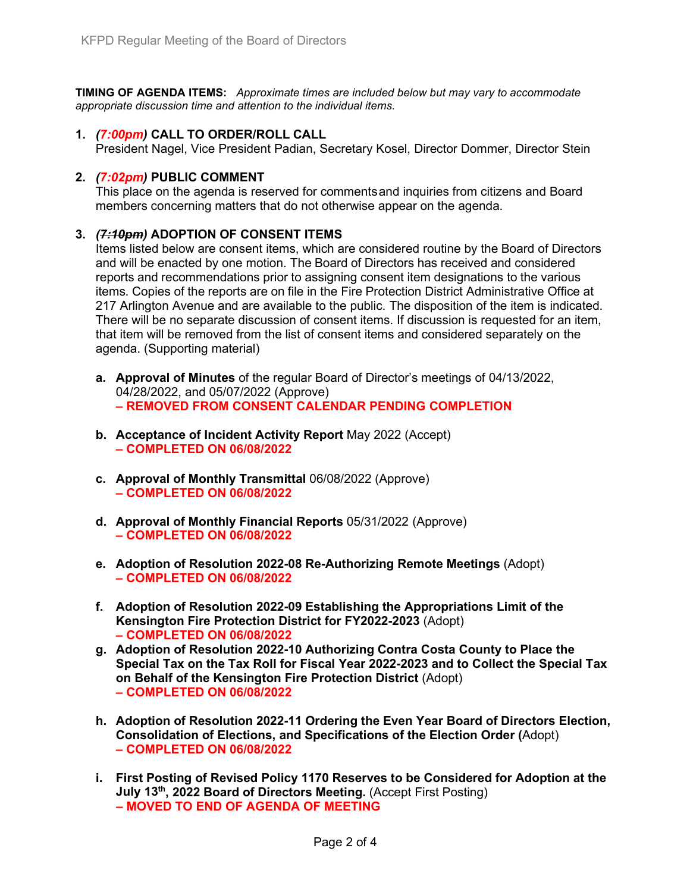**TIMING OF AGENDA ITEMS:** *Approximate times are included below but may vary to accommodate appropriate discussion time and attention to the individual items.*

#### **1.** *(7:00pm)* **CALL TO ORDER/ROLL CALL**

President Nagel, Vice President Padian, Secretary Kosel, Director Dommer, Director Stein

#### **2.** *(7:02pm)* **PUBLIC COMMENT**

This place on the agenda is reserved for commentsand inquiries from citizens and Board members concerning matters that do not otherwise appear on the agenda.

#### **3.** *(7:10pm)* **ADOPTION OF CONSENT ITEMS**

Items listed below are consent items, which are considered routine by the Board of Directors and will be enacted by one motion. The Board of Directors has received and considered reports and recommendations prior to assigning consent item designations to the various items. Copies of the reports are on file in the Fire Protection District Administrative Office at 217 Arlington Avenue and are available to the public. The disposition of the item is indicated. There will be no separate discussion of consent items. If discussion is requested for an item, that item will be removed from the list of consent items and considered separately on the agenda. (Supporting material)

- **a. Approval of Minutes** of the regular Board of Director's meetings of 04/13/2022, 04/28/2022, and 05/07/2022 (Approve) **– REMOVED FROM CONSENT CALENDAR PENDING COMPLETION**
- **b. Acceptance of Incident Activity Report** May 2022 (Accept) **– COMPLETED ON 06/08/2022**
- **c. Approval of Monthly Transmittal** 06/08/2022 (Approve) **– COMPLETED ON 06/08/2022**
- **d. Approval of Monthly Financial Reports** 05/31/2022 (Approve) **– COMPLETED ON 06/08/2022**
- **e. Adoption of Resolution 2022-08 Re-Authorizing Remote Meetings** (Adopt) **– COMPLETED ON 06/08/2022**
- **f. Adoption of Resolution 2022-09 Establishing the Appropriations Limit of the Kensington Fire Protection District for FY2022-2023** (Adopt) **– COMPLETED ON 06/08/2022**
- **g. Adoption of Resolution 2022-10 Authorizing Contra Costa County to Place the Special Tax on the Tax Roll for Fiscal Year 2022-2023 and to Collect the Special Tax on Behalf of the Kensington Fire Protection District** (Adopt) **– COMPLETED ON 06/08/2022**
- **h. Adoption of Resolution 2022-11 Ordering the Even Year Board of Directors Election, Consolidation of Elections, and Specifications of the Election Order (**Adopt) **– COMPLETED ON 06/08/2022**
- **i. First Posting of Revised Policy 1170 Reserves to be Considered for Adoption at the July 13<sup>th</sup>, 2022 Board of Directors Meeting.** (Accept First Posting) **– MOVED TO END OF AGENDA OF MEETING**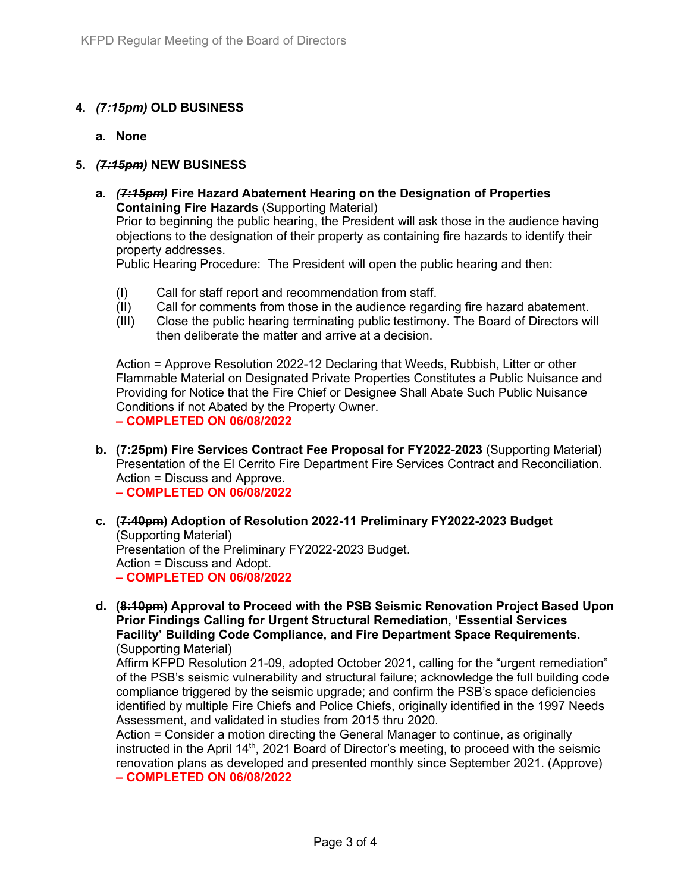### **4.** *(7:15pm)* **OLD BUSINESS**

**a. None**

#### **5.** *(7:15pm)* **NEW BUSINESS**

**a.** *(7:15pm)* **Fire Hazard Abatement Hearing on the Designation of Properties Containing Fire Hazards** (Supporting Material)

Prior to beginning the public hearing, the President will ask those in the audience having objections to the designation of their property as containing fire hazards to identify their property addresses.

Public Hearing Procedure: The President will open the public hearing and then:

- (I) Call for staff report and recommendation from staff.
- (II) Call for comments from those in the audience regarding fire hazard abatement.
- (III) Close the public hearing terminating public testimony. The Board of Directors will then deliberate the matter and arrive at a decision.

Action = Approve Resolution 2022-12 Declaring that Weeds, Rubbish, Litter or other Flammable Material on Designated Private Properties Constitutes a Public Nuisance and Providing for Notice that the Fire Chief or Designee Shall Abate Such Public Nuisance Conditions if not Abated by the Property Owner. **– COMPLETED ON 06/08/2022**

- **b. (7:25pm) Fire Services Contract Fee Proposal for FY2022-2023** (Supporting Material) Presentation of the El Cerrito Fire Department Fire Services Contract and Reconciliation. Action = Discuss and Approve. **– COMPLETED ON 06/08/2022**
- **c. (7:40pm) Adoption of Resolution 2022-11 Preliminary FY2022-2023 Budget** (Supporting Material) Presentation of the Preliminary FY2022-2023 Budget. Action = Discuss and Adopt. **– COMPLETED ON 06/08/2022**
- **d. (8:10pm) Approval to Proceed with the PSB Seismic Renovation Project Based Upon Prior Findings Calling for Urgent Structural Remediation, 'Essential Services Facility' Building Code Compliance, and Fire Department Space Requirements.**  (Supporting Material)

Affirm KFPD Resolution 21-09, adopted October 2021, calling for the "urgent remediation" of the PSB's seismic vulnerability and structural failure; acknowledge the full building code compliance triggered by the seismic upgrade; and confirm the PSB's space deficiencies identified by multiple Fire Chiefs and Police Chiefs, originally identified in the 1997 Needs Assessment, and validated in studies from 2015 thru 2020.

Action = Consider a motion directing the General Manager to continue, as originally instructed in the April 14<sup>th</sup>, 2021 Board of Director's meeting, to proceed with the seismic renovation plans as developed and presented monthly since September 2021. (Approve) **– COMPLETED ON 06/08/2022**